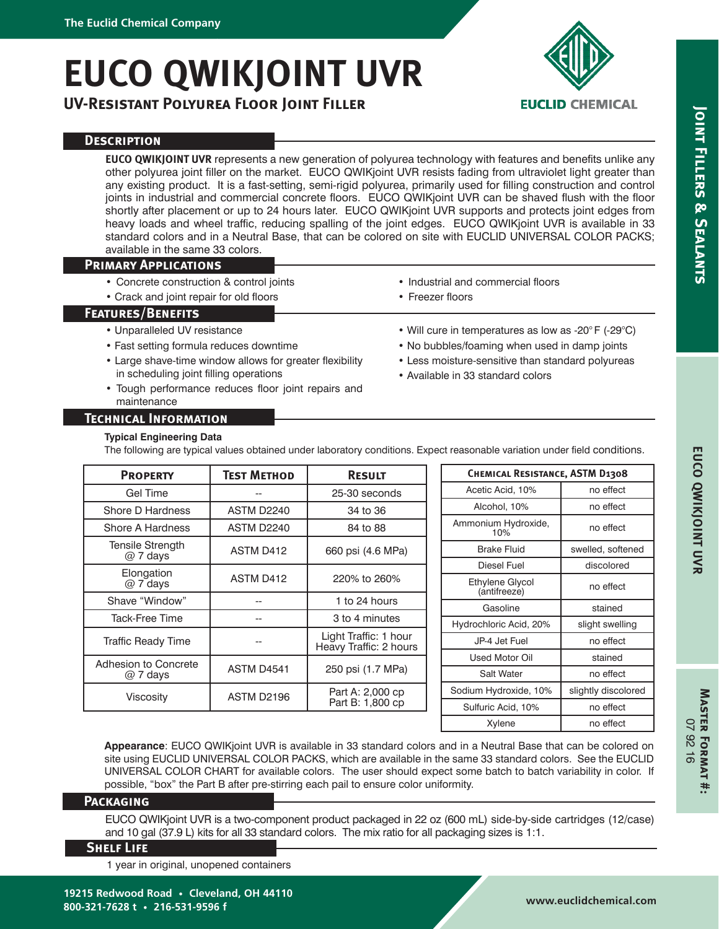# **EUCO QWIKJOINT UVR**

**UV-Resistant Polyurea Floor Joint Filler**



# **EUCLID CHEMICAL**

**Joint Fillers & Sealants**

**JOINT FILLERS & SEALANTS** 

## **Description**

**EUCO QWIKJOINT UVR** represents a new generation of polyurea technology with features and benefits unlike any other polyurea joint filler on the market. EUCO QWIKjoint UVR resists fading from ultraviolet light greater than any existing product. It is a fast-setting, semi-rigid polyurea, primarily used for filling construction and control joints in industrial and commercial concrete floors. EUCO QWIKjoint UVR can be shaved flush with the floor shortly after placement or up to 24 hours later. EUCO QWIKjoint UVR supports and protects joint edges from heavy loads and wheel traffic, reducing spalling of the joint edges. EUCO QWIKjoint UVR is available in 33 standard colors and in a Neutral Base, that can be colored on site with EUCLID UNIVERSAL COLOR PACKS; available in the same 33 colors.

## **Primary Applications**

- Concrete construction & control joints
- Crack and joint repair for old floors

## **Features/Benefits**

- Unparalleled UV resistance
- Fast setting formula reduces downtime
- Large shave-time window allows for greater flexibility in scheduling joint filling operations
- Tough performance reduces floor joint repairs and maintenance

## • Industrial and commercial floors • Freezer floors

- Will cure in temperatures as low as -20° F (-29°C)
- No bubbles/foaming when used in damp joints
- Less moisture-sensitive than standard polyureas
- Available in 33 standard colors

## **Technical Information**

#### **Typical Engineering Data**

The following are typical values obtained under laboratory conditions. Expect reasonable variation under field conditions.

| <b>PROPERTY</b>                      | <b>TEST METHOD</b> | <b>RESULT</b>                                   | <b>CHEMICAL RESISTANCE, ASTM D1308</b> |                     |  |
|--------------------------------------|--------------------|-------------------------------------------------|----------------------------------------|---------------------|--|
| Gel Time                             |                    | 25-30 seconds                                   | Acetic Acid, 10%                       | no effect           |  |
| Shore D Hardness                     | <b>ASTM D2240</b>  | 34 to 36                                        | Alcohol, 10%                           | no effect           |  |
| Shore A Hardness                     | <b>ASTM D2240</b>  | 84 to 88                                        | Ammonium Hydroxide,<br>10%             | no effect           |  |
| <b>Tensile Strength</b><br>$@7$ days | ASTM D412          | 660 psi (4.6 MPa)                               | <b>Brake Fluid</b>                     | swelled, softened   |  |
|                                      |                    |                                                 | Diesel Fuel                            | discolored          |  |
| Elongation<br>$@7$ days              | ASTM D412          | 220% to 260%                                    | Ethylene Glycol<br>(antifreeze)        | no effect           |  |
| Shave "Window"                       |                    | 1 to 24 hours                                   | Gasoline                               | stained             |  |
| Tack-Free Time                       |                    | 3 to 4 minutes                                  |                                        |                     |  |
| <b>Traffic Ready Time</b>            |                    | Light Traffic: 1 hour<br>Heavy Traffic: 2 hours | Hydrochloric Acid, 20%                 | slight swelling     |  |
|                                      |                    |                                                 | JP-4 Jet Fuel                          | no effect           |  |
| Adhesion to Concrete                 | ASTM D4541         | 250 psi (1.7 MPa)                               | Used Motor Oil                         | stained             |  |
| $@7$ days                            |                    |                                                 | <b>Salt Water</b>                      | no effect           |  |
| Viscosity                            | ASTM D2196         | Part A: 2,000 cp<br>Part B: 1,800 cp            | Sodium Hydroxide, 10%                  | slightly discolored |  |
|                                      |                    |                                                 | Sulfuric Acid, 10%                     | no effect           |  |
|                                      |                    |                                                 | Xylene                                 | no effect           |  |

**Appearance**: EUCO QWIKjoint UVR is available in 33 standard colors and in a Neutral Base that can be colored on site using EUCLID UNIVERSAL COLOR PACKS, which are available in the same 33 standard colors. See the EUCLID UNIVERSAL COLOR CHART for available colors. The user should expect some batch to batch variability in color. If possible, "box" the Part B after pre-stirring each pail to ensure color uniformity.

#### **Packaging**

EUCO QWIKjoint UVR is a two-component product packaged in 22 oz (600 mL) side-by-side cartridges (12/case) and 10 gal (37.9 L) kits for all 33 standard colors. The mix ratio for all packaging sizes is 1:1.

## **Shelf Life**

1 year in original, unopened containers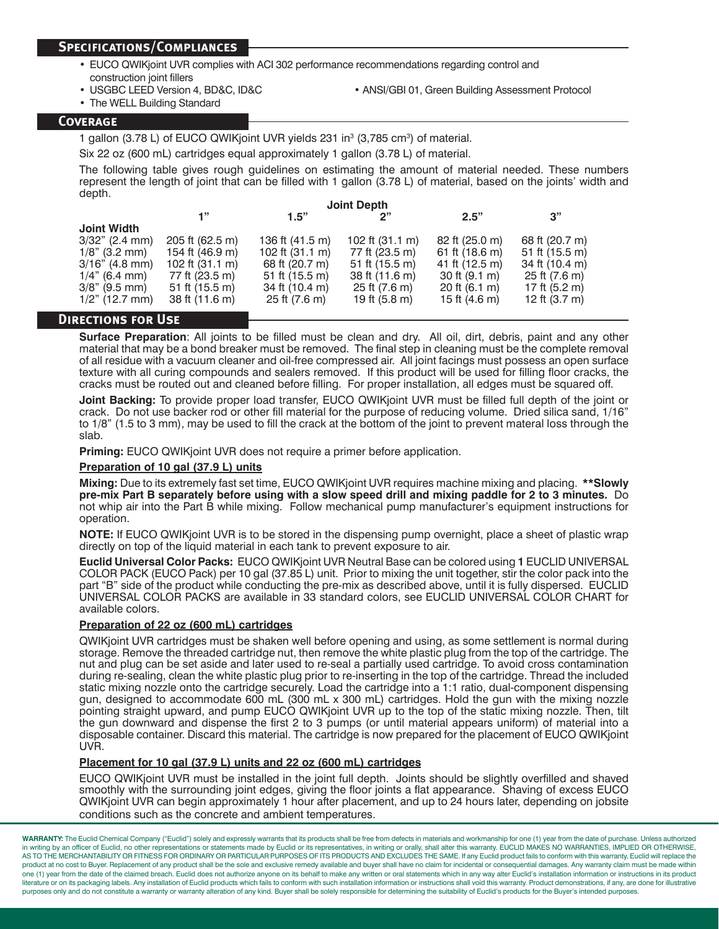#### **Specifications/Compliances**

- EUCO QWIKjoint UVR complies with ACI 302 performance recommendations regarding control and construction joint fillers
- 
- The WELL Building Standard
- USGBC LEED Version 4, BD&C, ID&C ANSI/GBI 01, Green Building Assessment Protocol

#### **Coverage**

1 gallon (3.78 L) of EUCO QWIKjoint UVR yields 231 in<sup>3</sup> (3,785 cm<sup>3</sup>) of material.

Six 22 oz (600 mL) cartridges equal approximately 1 gallon (3.78 L) of material.

The following table gives rough guidelines on estimating the amount of material needed. These numbers represent the length of joint that can be filled with 1 gallon (3.78 L) of material, based on the joints' width and depth.

|                    | <b>Joint Depth</b>       |                           |                           |                           |                          |  |
|--------------------|--------------------------|---------------------------|---------------------------|---------------------------|--------------------------|--|
|                    | 1"                       | 1.5"                      | "כ                        | 2.5"                      | 3"                       |  |
| <b>Joint Width</b> |                          |                           |                           |                           |                          |  |
| $3/32$ " (2.4 mm)  | 205 ft (62.5 m)          | 136 ft (41.5 m)           | 102 ft $(31.1 \text{ m})$ | 82 ft (25.0 m)            | 68 ft (20.7 m)           |  |
| $1/8$ " (3.2 mm)   | 154 ft (46.9 m)          | 102 ft $(31.1 \text{ m})$ | 77 ft (23.5 m)            | 61 ft (18.6 m)            | 51 ft $(15.5 \text{ m})$ |  |
| $3/16"$ (4.8 mm)   | 102 ft (31.1 m)          | 68 ft (20.7 m)            | $51$ ft (15.5 m)          | 41 ft (12.5 m)            | 34 ft (10.4 m)           |  |
| $1/4$ " (6.4 mm)   | 77 ft (23.5 m)           | 51 ft $(15.5 \text{ m})$  | 38 ft (11.6 m)            | $30$ ft $(9.1 \text{ m})$ | 25 ft (7.6 m)            |  |
| $3/8$ " (9.5 mm)   | 51 ft $(15.5 \text{ m})$ | 34 ft (10.4 m)            | 25 ft (7.6 m)             | 20 ft $(6.1 \text{ m})$   | 17 ft (5.2 m)            |  |
| $1/2$ " (12.7 mm)  | 38 ft (11.6 m)           | 25 ft (7.6 m)             | 19 ft (5.8 m)             | 15 ft $(4.6 \text{ m})$   | 12 ft (3.7 m)            |  |
| --------------     |                          |                           |                           |                           |                          |  |

#### **Directions for Use**

**Surface Preparation**: All joints to be filled must be clean and dry. All oil, dirt, debris, paint and any other material that may be a bond breaker must be removed. The final step in cleaning must be the complete removal of all residue with a vacuum cleaner and oil-free compressed air. All joint facings must possess an open surface texture with all curing compounds and sealers removed. If this product will be used for filling floor cracks, the cracks must be routed out and cleaned before filling. For proper installation, all edges must be squared off.

**Joint Backing:** To provide proper load transfer, EUCO QWIKjoint UVR must be filled full depth of the joint or crack. Do not use backer rod or other fill material for the purpose of reducing volume. Dried silica sand, 1/16" to 1/8" (1.5 to 3 mm), may be used to fill the crack at the bottom of the joint to prevent materal loss through the slab.

**Priming:** EUCO QWIKjoint UVR does not require a primer before application.

#### **Preparation of 10 gal (37.9 L) units**

**Mixing:** Due to its extremely fast set time, EUCO QWIKjoint UVR requires machine mixing and placing. **\*\*Slowly pre-mix Part B separately before using with a slow speed drill and mixing paddle for 2 to 3 minutes.** Do not whip air into the Part B while mixing. Follow mechanical pump manufacturer's equipment instructions for operation.

**NOTE:** If EUCO QWIKjoint UVR is to be stored in the dispensing pump overnight, place a sheet of plastic wrap directly on top of the liquid material in each tank to prevent exposure to air.

**Euclid Universal Color Packs:** EUCO QWIKjoint UVR Neutral Base can be colored using **1** EUCLID UNIVERSAL COLOR PACK (EUCO Pack) per 10 gal (37.85 L) unit. Prior to mixing the unit together, stir the color pack into the part "B" side of the product while conducting the pre-mix as described above, until it is fully dispersed. EUCLID UNIVERSAL COLOR PACKS are available in 33 standard colors, see EUCLID UNIVERSAL COLOR CHART for available colors.

#### **Preparation of 22 oz (600 mL) cartridges**

QWIKjoint UVR cartridges must be shaken well before opening and using, as some settlement is normal during storage. Remove the threaded cartridge nut, then remove the white plastic plug from the top of the cartridge. The nut and plug can be set aside and later used to re-seal a partially used cartridge. To avoid cross contamination during re-sealing, clean the white plastic plug prior to re-inserting in the top of the cartridge. Thread the included static mixing nozzle onto the cartridge securely. Load the cartridge into a 1:1 ratio, dual-component dispensing gun, designed to accommodate 600 mL (300 mL x 300 mL) cartridges. Hold the gun with the mixing nozzle pointing straight upward, and pump EUCO QWIKjoint UVR up to the top of the static mixing nozzle. Then, tilt the gun downward and dispense the first 2 to 3 pumps (or until material appears uniform) of material into a disposable container. Discard this material. The cartridge is now prepared for the placement of EUCO QWIKjoint UVR.

#### **Placement for 10 gal (37.9 L) units and 22 oz (600 mL) cartridges**

EUCO QWIKjoint UVR must be installed in the joint full depth. Joints should be slightly overfilled and shaved smoothly with the surrounding joint edges, giving the floor joints a flat appearance. Shaving of excess EUCO QWIKjoint UVR can begin approximately 1 hour after placement, and up to 24 hours later, depending on jobsite conditions such as the concrete and ambient temperatures.

WARRANTY: The Euclid Chemical Company ("Euclid") solely and expressly warrants that its products shall be free from defects in materials and workmanship for one (1) year from the date of purchase. Unless authorized in writing by an officer of Euclid, no other representations or statements made by Euclid or its representatives, in writing or orally, shall alter this warranty. EUCLID MAKES NO WARRANTIES, IMPLIED OR OTHERWISE, THE MURICULAR STATES IN A SECURIAL CONDUCTS OF A SALE INTERNATION OF INTERNATIONAL TRANSITY ORDINARY OR PARTICULAR PURPOSES OF ITS PRODUCTS AND EXCLUDES THE SAME. If any Euclid product fails to conform with this warranty, product at no cost to Buyer. Replacement of any product shall be the sole and exclusive remedy available and buyer shall have no claim for incidental or consequential damages. Any warranty claim must be made within one (1) year from the date of the claimed breach. Euclid does not authorize anyone on its behalf to make any written or oral statements which in any way alter Euclid's installation information or instructions in its product literature or on its packaging labels. Any installation of Euclid products which fails to conform with such installation information or instructions shall void this warranty. Product demonstrations, if any, are done for il purposes only and do not constitute a warranty or warranty alteration of any kind. Buyer shall be solely responsible for determining the suitability of Euclid's products for the Buyer's intended purpose